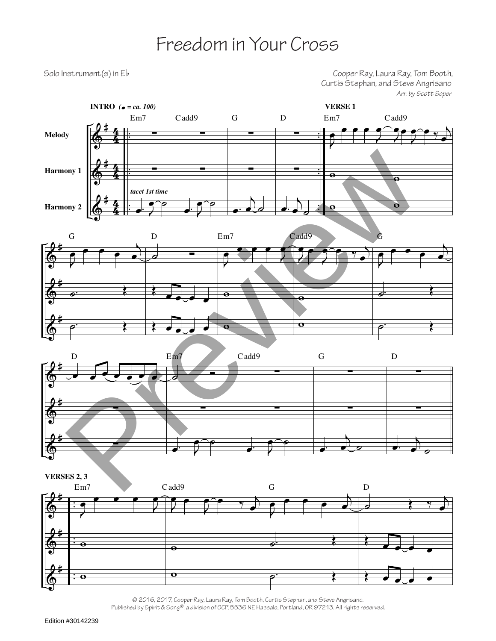## Freedom in Your Cross

Solo Instrument(s) in Eb **Solo** Instrument(s) in Eb and Eb and the Cooper Ray, Laura Ray, Tom Booth, Curtis Stephan, and Steve Angrisano *Arr. by Scott Soper*









© 2016, 2017, Cooper Ray, Laura Ray, Tom Booth, Curtis Stephan, and Steve Angrisano. Published by Spirit & Song®, a division of OCP, 5536 NE Hassalo, Portland, OR 97213. All rights reserved.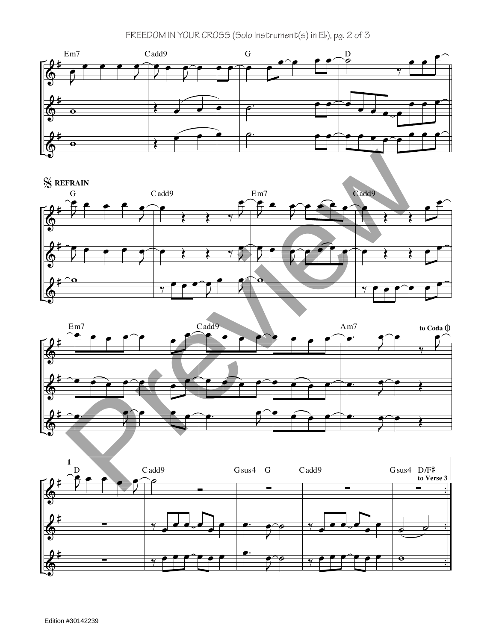